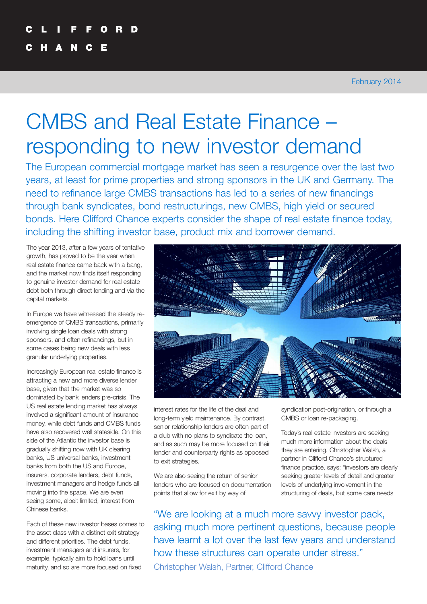# CMBS and Real Estate Finance – responding to new investor demand

The European commercial mortgage market has seen a resurgence over the last two years, at least for prime properties and strong sponsors in the UK and Germany. The need to refinance large CMBS transactions has led to a series of new financings through bank syndicates, bond restructurings, new CMBS, high yield or secured bonds. Here Clifford Chance experts consider the shape of real estate finance today, including the shifting investor base, product mix and borrower demand.

The year 2013, after a few years of tentative growth, has proved to be the year when real estate finance came back with a bang, and the market now finds itself responding to genuine investor demand for real estate debt both through direct lending and via the capital markets.

In Europe we have witnessed the steady reemergence of CMBS transactions, primarily involving single loan deals with strong sponsors, and often refinancings, but in some cases being new deals with less granular underlying properties.

Increasingly European real estate finance is attracting a new and more diverse lender base, given that the market was so dominated by bank lenders pre-crisis. The US real estate lending market has always involved a significant amount of insurance money, while debt funds and CMBS funds have also recovered well stateside. On this side of the Atlantic the investor base is gradually shifting now with UK clearing banks, US universal banks, investment banks from both the US and Europe, insurers, corporate lenders, debt funds, investment managers and hedge funds all moving into the space. We are even seeing some, albeit limited, interest from Chinese banks.

Each of these new investor bases comes to the asset class with a distinct exit strategy and different priorities. The debt funds, investment managers and insurers, for example, typically aim to hold loans until maturity, and so are more focused on fixed



interest rates for the life of the deal and long-term yield maintenance. By contrast, senior relationship lenders are often part of a club with no plans to syndicate the loan, and as such may be more focused on their lender and counterparty rights as opposed to exit strategies.

We are also seeing the return of senior lenders who are focused on documentation points that allow for exit by way of

syndication post-origination, or through a CMBS or loan re-packaging.

Today's real estate investors are seeking much more information about the deals they are entering. Christopher Walsh, a partner in Clifford Chance's structured finance practice, says: "investors are clearly seeking greater levels of detail and greater levels of underlying involvement in the structuring of deals, but some care needs

"We are looking at a much more savvy investor pack, asking much more pertinent questions, because people have learnt a lot over the last few years and understand how these structures can operate under stress." Christopher Walsh, Partner, Clifford Chance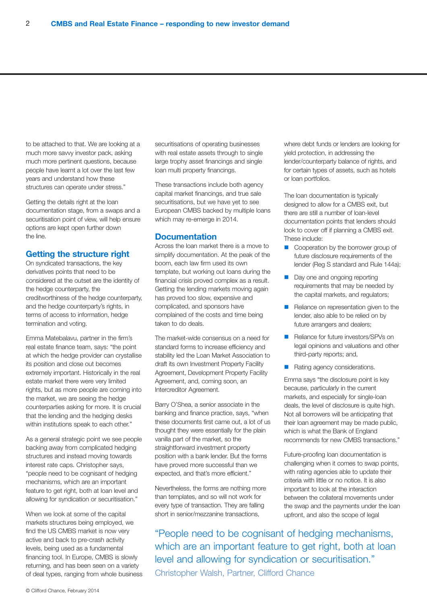to be attached to that. We are looking at a much more savvy investor pack, asking much more pertinent questions, because people have learnt a lot over the last few years and understand how these structures can operate under stress."

Getting the details right at the loan documentation stage, from a swaps and a securitisation point of view, will help ensure options are kept open further down the line.

#### **Getting the structure right**

On syndicated transactions, the key derivatives points that need to be considered at the outset are the identity of the hedge counterparty, the creditworthiness of the hedge counterparty, and the hedge counterparty's rights, in terms of access to information, hedge termination and voting.

Emma Matebalavu, partner in the firm's real estate finance team, says: "the point at which the hedge provider can crystallise its position and close out becomes extremely important. Historically in the real estate market there were very limited rights, but as more people are coming into the market, we are seeing the hedge counterparties asking for more. It is crucial that the lending and the hedging desks within institutions speak to each other."

As a general strategic point we see people backing away from complicated hedging structures and instead moving towards interest rate caps. Christopher says, "people need to be cognisant of hedging mechanisms, which are an important feature to get right, both at loan level and allowing for syndication or securitisation."

When we look at some of the capital markets structures being employed, we find the US CMBS market is now very active and back to pre-crash activity levels, being used as a fundamental financing tool. In Europe, CMBS is slowly returning, and has been seen on a variety of deal types, ranging from whole business

securitisations of operating businesses with real estate assets through to single large trophy asset financings and single loan multi property financings.

These transactions include both agency capital market financings, and true sale securitisations, but we have yet to see European CMBS backed by multiple loans which may re-emerge in 2014.

#### **Documentation**

Across the loan market there is a move to simplify documentation. At the peak of the boom, each law firm used its own template, but working out loans during the financial crisis proved complex as a result. Getting the lending markets moving again has proved too slow, expensive and complicated, and sponsors have complained of the costs and time being taken to do deals.

The market-wide consensus on a need for standard forms to increase efficiency and stability led the Loan Market Association to draft its own Investment Property Facility Agreement, Development Property Facility Agreement, and, coming soon, an Intercreditor Agreement.

Barry O'Shea, a senior associate in the banking and finance practice, says, "when these documents first came out, a lot of us thought they were essentially for the plain vanilla part of the market, so the straightforward investment property position with a bank lender. But the forms have proved more successful than we expected, and that's more efficient."

Nevertheless, the forms are nothing more than templates, and so will not work for every type of transaction. They are falling short in senior/mezzanine transactions,

where debt funds or lenders are looking for yield protection, in addressing the lender/counterparty balance of rights, and for certain types of assets, such as hotels or loan portfolios.

The loan documentation is typically designed to allow for a CMBS exit, but there are still a number of loan-level documentation points that lenders should look to cover off if planning a CMBS exit. These include:

- Cooperation by the borrower group of future disclosure requirements of the lender (Reg S standard and Rule 144a);
- Day one and ongoing reporting requirements that may be needed by the capital markets, and regulators;
- Reliance on representation given to the lender, also able to be relied on by future arrangers and dealers:
- Reliance for future investors/SPVs on legal opinions and valuations and other third-party reports; and,
- **n** Rating agency considerations.

Emma says "the disclosure point is key because, particularly in the current markets, and especially for single-loan deals, the level of disclosure is quite high. Not all borrowers will be anticipating that their loan agreement may be made public, which is what the Bank of England recommends for new CMBS transactions."

Future-proofing loan documentation is challenging when it comes to swap points, with rating agencies able to update their criteria with little or no notice. It is also important to look at the interaction between the collateral movements under the swap and the payments under the loan upfront, and also the scope of legal

"People need to be cognisant of hedging mechanisms, which are an important feature to get right, both at loan level and allowing for syndication or securitisation." Christopher Walsh, Partner, Clifford Chance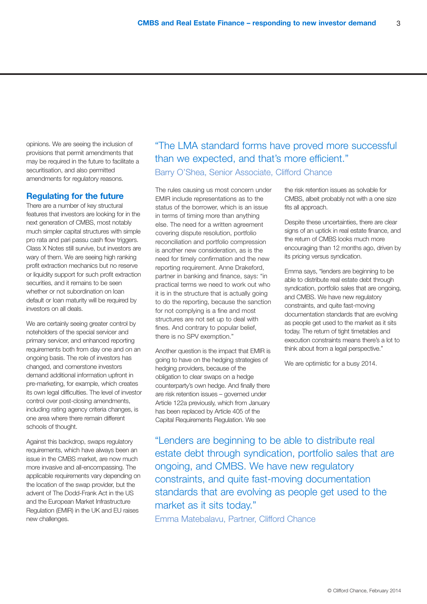opinions. We are seeing the inclusion of provisions that permit amendments that may be required in the future to facilitate a securitisation, and also permitted amendments for regulatory reasons.

#### **Regulating for the future**

There are a number of key structural features that investors are looking for in the next generation of CMBS, most notably much simpler capital structures with simple pro rata and pari passu cash flow triggers. Class X Notes still survive, but investors are wary of them. We are seeing high ranking profit extraction mechanics but no reserve or liquidity support for such profit extraction securities, and it remains to be seen whether or not subordination on loan default or loan maturity will be required by investors on all deals.

We are certainly seeing greater control by noteholders of the special servicer and primary servicer, and enhanced reporting requirements both from day one and on an ongoing basis. The role of investors has changed, and cornerstone investors demand additional information upfront in pre-marketing, for example, which creates its own legal difficulties. The level of investor control over post-closing amendments, including rating agency criteria changes, is one area where there remain different schools of thought.

Against this backdrop, swaps regulatory requirements, which have always been an issue in the CMBS market, are now much more invasive and all-encompassing. The applicable requirements vary depending on the location of the swap provider, but the advent of The Dodd-Frank Act in the US and the European Market Infrastructure Regulation (EMIR) in the UK and EU raises new challenges.

"The LMA standard forms have proved more successful than we expected, and that's more efficient." Barry O'Shea, Senior Associate, Clifford Chance

The rules causing us most concern under EMIR include representations as to the status of the borrower, which is an issue in terms of timing more than anything else. The need for a written agreement covering dispute resolution, portfolio reconciliation and portfolio compression is another new consideration, as is the need for timely confirmation and the new reporting requirement. Anne Drakeford, partner in banking and finance, says: "in practical terms we need to work out who it is in the structure that is actually going to do the reporting, because the sanction for not complying is a fine and most structures are not set up to deal with fines. And contrary to popular belief, there is no SPV exemption."

Another question is the impact that EMIR is going to have on the hedging strategies of hedging providers, because of the obligation to clear swaps on a hedge counterparty's own hedge. And finally there are risk retention issues – governed under Article 122a previously, which from January has been replaced by Article 405 of the Capital Requirements Regulation. We see

the risk retention issues as solvable for CMBS, albeit probably not with a one size fits all approach.

Despite these uncertainties, there are clear signs of an uptick in real estate finance, and the return of CMBS looks much more encouraging than 12 months ago, driven by its pricing versus syndication.

Emma says, "lenders are beginning to be able to distribute real estate debt through syndication, portfolio sales that are ongoing, and CMBS. We have new regulatory constraints, and quite fast-moving documentation standards that are evolving as people get used to the market as it sits today. The return of tight timetables and execution constraints means there's a lot to think about from a legal perspective."

We are optimistic for a busy 2014.

"Lenders are beginning to be able to distribute real estate debt through syndication, portfolio sales that are ongoing, and CMBS. We have new regulatory constraints, and quite fast-moving documentation standards that are evolving as people get used to the market as it sits today."

Emma Matebalavu, Partner, Clifford Chance